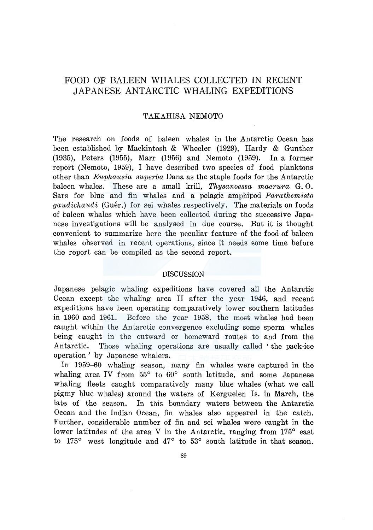# FOOD OF BALEEN WHALES COLLECTED IN RECENT JAPANESE ANTARCTIC WHALING EXPEDITIONS

# TAKAHISA NEMOTO

The research on foods of baleen whales in the Antarctic Ocean has been established by Mackintosh & Wheeler (1929), Hardy & Gunther  $(1935)$ , Peters  $(1955)$ , Marr  $(1956)$  and Nemoto  $(1959)$ . In a former report (Nemoto, 1959), I have described two species of food planktons other than *Euphausia superba* Dana as the staple foods for the Antarctic baleen whales. These are a small krill, *Thysanoessa macrura* G. 0. Sars for blue and fin whales and a pelagic amphipod *Parathemisto gaudichaudi* (Guér.) for sei whales respectively. The materials on foods of baleen whales which have been collected during the successive Japanese investigations will be analysed in due course. But it is thought convenient to summarize here the peculiar feature of the food of baleen whales observed in recent operations, since it needs some time before the report can be compiled as the second report.

## DISCUSSION

Japanese pelagic whaling expeditions have covered all the Antarctic Ocean except the whaling area II after the year 1946, and recent expeditions have been operating comparatively lower southern latitudes in 1960 and 1961. Before the year 1958, the most whales had been caught within the Antarctic convergence excluding some sperm whales being caught in the outward or homeward routes to and from the Antarctic. Those whaling operations are usually called 'the pack-ice operation' by Japanese whalers.

In 1959-60 whaling season, many fin whales were captured in the whaling area IV from 55° to 60° south latitude, and some Japanese whaling fleets caught comparatively many blue whales (what we call pigmy blue whales) around the waters of Kerguelen Is. in March, the late of the season. In this boundary waters between the Antarctic Ocean and the Indian Ocean, fin whales also appeared in the catch. Further, considerable number of fin and sei whales were caught in the lower latitudes of the area V in the Antarctic, ranging from 175<sup>°</sup> east to 175° west longitude and 47° to 53° south latitude in that season.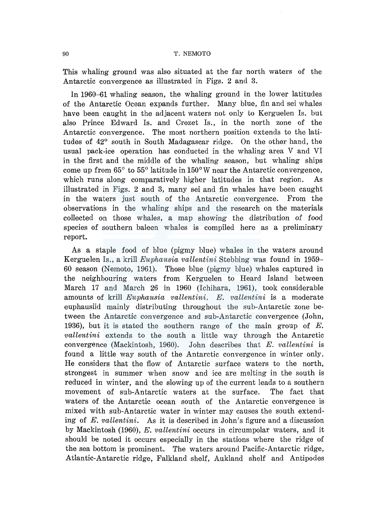## 90 T. NEMOTO

This whaling ground was also situated at the far north waters of the Antarctic convergence as illustrated in Figs. 2 and 3.

In 1960-61 whaling season, the whaling ground in the lower latitudes of the Antarctic Ocean expands further. Many blue, fin and sei whales have been caught in the adjacent waters not only to Kerguelen Is. but also Prince Edward Is. and Crozet Is., in the north zone of the Antarctic convergence. The most northern position extends to the latitudes of 42° south in South Madagascar ridge. On the other hand, the usual pack-ice operation has conducted in the whaling area V and VI in the first and the middle of the whaling season, but whaling ships come up from 65° to 55° latitude in 150° W near the Antarctic convergence, which runs along comparatively higher latitudes in that region. As illustrated in Figs. 2 and 3, many sei and fin whales have been caught in the waters just south of the Antarctic convergence. From the observations in the whaling ships and the research on the materials collected on those whales, a map showing the distribution of food species of southern baleen whales is compiled here as a preliminary report.

As a staple food of blue (pigmy blue) whales in the waters around Kerguelen Is., a krill *Euphausia vallentini* Stebbing was found in 1959- 60 season (Nemoto, 1961). Those blue (pigmy blue) whales captured in the neighbouring waters from Kerguelen to Heard Island between March 17 and March 26 in 1960 (Ichihara, 1961), took considerable amounts of krill *Euphausia vallentini. E. vallentini* is a moderate euphausiid mainly distributing throughout the sub-Antarctic zone between the Antarctic convergence and sub-Antarctic convergence (John, 1936), but it is stated the southern range of the main group of  $E$ . *vallentini* extends to the south a little way through the Antarctic convergence (Mackintosh, 1960). John describes that *E. vallentini* is found a little way south of the Antarctic convergence in winter only. He considers that the flow of Antarctic surface waters to the north, strongest in summer when snow and ice are melting in the south is reduced in winter, and the slowing up of the current leads to a southern movement of sub-Antarctic waters at the surface. The fact that waters of the Antarctic ocean south of the Antarctic convergence is mixed with sub-Antarctic water in winter may causes the south extending of *E. vallentini.* As it is described in John's figure and a discussion by Mackintosh (1960), *E. vallentini* occurs in circumpolar waters, and it should be noted it occurs especially in the stations where the ridge of the sea bottom is prominent. The waters around Pacific-Antarctic ridge, Atlantic-Antarctic ridge, Falkland shelf, Aukland shelf and Antipodes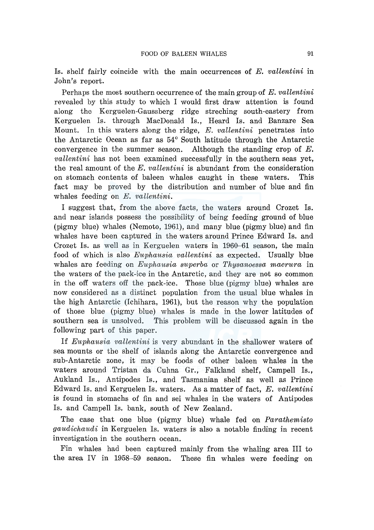Is. shelf fairly coincide with the main occurrences of *E. vallentini* m John's report.

Perhaps the most southern occurrence of the main group of *E. vallentini*  revealed by this study to which I would first draw attention is found along the Kerguelen-Gaussberg ridge streching south-eastery from Kerguelen Is. through MacDonald Is., Heard Is. and Banzare Sea Mount. In this waters along the ridge, *E. vallentini* penetrates into the Antarctic Ocean as far as 54 ° South latitude through the Antarctic convergence in the summer season. Although the standing crop of  $E$ . *vallentini* has not been examined successfully in the southern seas yet, the real amount of the *E. vallentini* is abundant from the consideration on stomach contents of baleen whales caught in these waters. This fact may be proved by the distribution and number of blue and fin whales feeding on *E. vallentini.* 

I suggest that, from the above facts, the waters around Crozet Is. and near islands possess the possibility of being feeding ground of blue (pigmy blue) whales (Nemoto, 1961), and many blue (pigmy blue) and fin whales have been captured in the waters around Prince Edward Is. and Crozet Is. as well as in Kerguelen waters in 1960-61 season, the main food of which is also *Euphausia vallentini* as expected. Usually blue whales are feeding on *Euphausia superba* or *Thysanoessa macrura* in the waters of the pack-ice in the Antarctic, and they are not so common in the off waters off the pack-ice. Those blue (pigmy blue) whales are now considered as a distinct population from the usual blue whales in the high Antarctic (Ichihara, 1961), but the reason why the population of those blue (pigmy blue) whales is made in the lower latitudes of southern sea is unsolved. This problem will be discussed again in the following part of this paper.

If *Euphausia vallentini* is very abundant in the shallower waters of sea mounts or the shelf of islands along the Antarctic convergence and sub-Antarctic zone, it may be foods of other baleen whales in the waters around Tristan da Cuhna Gr., Falkland shelf, Campell Is., Aukland Is., Antipodes Is., and Tasmanian shelf as well as Prince Edward Is. and Kerguelen Is. waters. As a matter of fact, *E. vallentini*  is found in stomachs of fin and sei whales in the waters of Antipodes Is. and Campell Is. bank, south of New Zealand.

The case that one blue (pigmy blue) whale fed on *Parathemisto gaudichaudi* in Kerguelen Is. waters is also a notable finding in recent investigation in the southern ocean.

Fin whales had been captured mainly from the whaling area III to the area IV in 1958-59 season. These fin whales were feeding on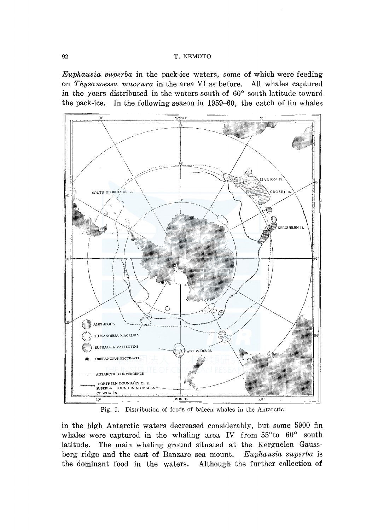*Euphausia superba* in the pack-ice waters, some of which were feeding on *Thysanoessa macrura* in the area VI as before. All whales captured in the years distributed in the waters south of 60° south latitude toward the pack-ice. In the following season in 1959-60, the catch of fin whales



Fig. 1. Distribution of foods of baleen whales in the Antarctic

in the high Antarctic waters decreased considerably, but some 5900 fin whales were captured in the whaling area IV from 55°to 60° south latitude. The main whaling ground situated at the Kerguelen Gaussberg ridge and the east of Banzare sea mount. *Euphausia superba* is the dominant food in the waters. Although the further collection of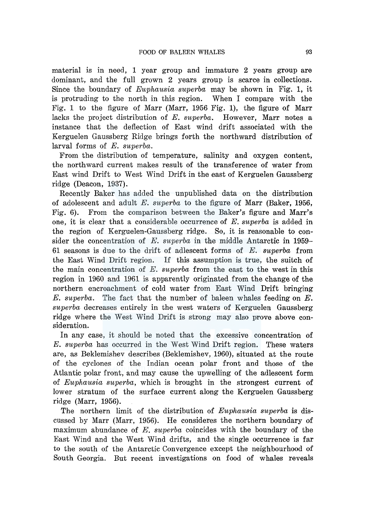material is in need, 1 year group and immature 2 years group are dominant, and the full grown 2 years group is scarce in collections. Since the boundary of *Euphausia superba* may be shown in Fig. 1, it is protruding to the north in this region. When I compare with the Fig. 1 to the figure of Marr (Marr, 1956 Fig. 1), the figure of Marr lacks the project distribution of *E. superba*. However, Marr notes a instance that the deflection of East wind drift associated with the Kerguelen Gaussberg Ridge brings forth the northward distribution of larval forms of *E. superba.* 

From the distribution of temperature, salinity and oxygen content, the northward current makes result of the transference of water from East wind Drift to West Wind Drift in the east of Kerguelen Gaussberg ridge (Deacon, 1937).

Recently Baker has added the unpublished data on the distribution of adolescent and adult *E. superba* to the figure of Marr (Baker, 1956, Fig. 6). From the comparison between the Baker's figure and Marr's one, it is clear that a considerable occurrence of *E. superba* is added in the region of Kerguelen-Gaussberg ridge. So, it is reasonable to consider the concentration of *E. superba* in the middle Antarctic in 1959- 61 seasons is due to the drift of adlescent forms of *E. superba* from the East Wind Drift region. If this assumption is true, the suitch of the main concentration of *E. superba* from the east to the west in this region in 1960 and 1961 is apparently originated from the change of the northern encroachment of cold water from East Wind Drift bringing *E. superba.* The fact that the number of baleen whales feeding on *E. superba* decreases entirely in the west waters of Kerguelen Gaussberg ridge where the West Wind Drift is strong may also prove above consideration.

In any case, it should be noted that the excessive concentration of *E. superba* has occurred in the West Wind Drift region. These waters are, as Beklemishev describes (Beklemishev, 1960), situated at the route of the cyclones of the Indian ocean polar front and those of the Atlantic polar front, and may cause the upwelling of the adlescent form of *Euphausia superba,* which is brought in the strongest current of lower stratum of the surface current along the Kerguelen Gaussberg ridge (Marr, 1956).

The northern limit of the distribution of *Euphausia superba* is discussed by Marr (Marr, 1956). He consideres the northern boundary of maximum abundance of *E. superba* coincides with the boundary of the East Wind and the West Wind drifts, and the single occurrence is far to the south of the Antarctic Convergence except the neighbourhood of South Georgia. But recent investigations on food of whales reveals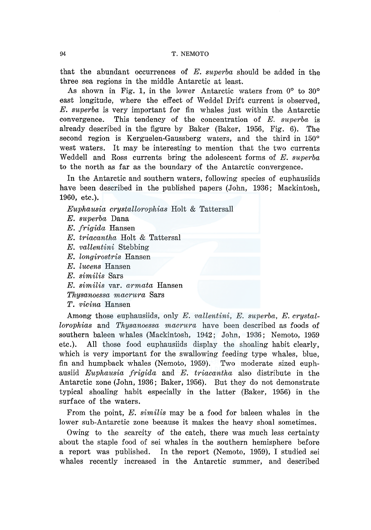that the abundant occurrences of *E. superba* should be added in the three sea regions in the middle Antarctic at least.

As shown in Fig. 1, in the lower Antarctic waters from  $0^{\circ}$  to  $30^{\circ}$ east longitude, where the effect of Weddel Drift current is observed, *E. superba* is very important for fin whales just within the Antarctic convergence. This tendency of the concentration of *E. superba* is already described in the figure by Baker (Baker, 1956, Fig. 6). The second region is Kerguelen-Gaussberg waters, and the third in 150° west waters. It may be interesting to mention that the two currents Weddell and Ross currents bring the adolescent forms of *E. superba*  to the north as far as the boundary of the Antarctic convergence.

In the Antarctic and southern waters, following species of euphausiids have been described in the published papers (John, 1936; Mackintosh, 1960, etc.).

*Euphausia crystallorophias* Holt & Tattersall

- *E. superba* Dana
- *E. frigida* Hansen
- *E. triacantha* Holt & Tattersal
- *E. vallentini* Stebbing
- *E. longirostris* Hansen
- *E. lucens* Hansen
- *E. similis* Sars
- *E. similis* var. *armata* Hansen
- *Thysanoessa macrura* Sars
- *T. vicina* Hansen

Among those euphausiids, only *E. vallentini, E. superba, E. crystallorophias* and *Thysanoessa macrura* have been described as foods of southern baleen whales (Mackintosh, 1942; John, 1936; Nemoto, 1959 etc.). All those food euphausiids display the shoaling habit clearly, which is very important for the swallowing feeding type whales, blue, fin and humpback whales (Nemoto, 1959). Two moderate sized euphausiid *Euphausia frigida* and *E. triacantha* also distribute in the Antarctic zone (John, 1936; Baker, 1956). But they do not demonstrate typical shoaling habit especially in the latter (Baker, 1956) in the surface of the waters.

From the point, *E. similis* may be a food for baleen whales in the lower sub-Antarctic zone because it makes the heavy shoal sometimes.

Owing to the scarcity of the catch, there was much less certainty about the staple food of sei whales in the southern hemisphere before a report was published. In the report (Nemoto, 1959), I studied sei whales recently increased in the Antarctic summer, and described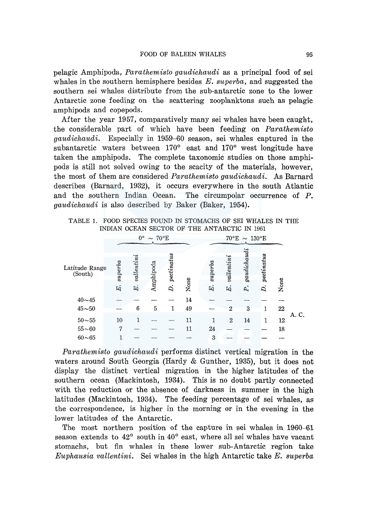pelagic Amphipoda, *Parathemisto gaudichaudi* as a principal food of sei whales in the southern hemisphere besides *E. superba,* and suggested the southern sei whales distribute from the sub-antarctic zone to the lower Antarctic zone feeding on the scattering zooplanktons such as pelagic amphipods and copepods.

After the year 1957, comparatively many sei whales have been caught, the considerable part of which have been feeding on *Parathemisto gaudichaudi.* Especially in 1959-60 season, sei whales captured in the subantarctic waters between 170° east and 170° west longitude have taken the amphipods. The complete taxonomic studies on those amphipods is still not solved owing to the scacity of the materials, however, the most of them are considered *Parathemisto gaudichaudi.* As Barnard describes (Barnard, 1932), it occurs everywhere in the south Atlantic and the southern Indian Ocean. The circumpolar occurrence of P. *gaudichaudi* is also described by Baker (Baker, 1954).

|                |                |                              |           |            |      | INDIAN OCEAN SECTOR OF THE ANTARCTIC IN 1901 |                        |                |            |      |       |
|----------------|----------------|------------------------------|-----------|------------|------|----------------------------------------------|------------------------|----------------|------------|------|-------|
|                |                | $0^{\circ} \sim 70^{\circ}E$ |           |            |      |                                              | $70^{\circ}$ E ~ 130°E |                |            |      |       |
|                |                |                              |           |            |      |                                              |                        |                |            |      |       |
|                |                |                              |           |            |      |                                              |                        |                |            |      |       |
| Latitude Range | superba        | value n t in i               |           | pectinatus |      | $vq$ and $n$                                 | value n i n i          | $\emph{gaudi}$ | pectinatus |      |       |
| (South)        |                |                              | Amphipoda |            |      |                                              |                        |                |            |      |       |
|                |                |                              |           |            |      |                                              |                        |                |            |      |       |
|                | E.             | E.                           |           | Ż.         | None | E.                                           | E.                     | P.             | Ä.         | None |       |
| $40 - 45$      |                |                              |           |            | 14   |                                              |                        |                |            |      |       |
| $45\!\sim\!50$ |                | 6                            | 5         |            | 49   |                                              | $\mathbf{2}$           | 3              | 1          | 22   |       |
| $50 - 55$      | 10             | 1                            |           |            | 11   | 1                                            | $\overline{2}$         | 14             | 1          | 12   | A. C. |
| $55 - 60$      | $\overline{7}$ |                              |           |            | 11   | 24                                           |                        |                |            | 18   |       |
| $60 - 65$      |                |                              |           |            |      | 3                                            |                        | œ              |            |      |       |

TABLE 1. FOOD SPECIES FOUND IN STOMACHS OF SEI WHALES IN THE INDIAN OCEAN SECTOR OF THE ANT ARCTIC IN 1961

*Parathemisto gaudichaudi* performs distinct vertical migration in the waters around South Georgia (Hardy & Gunther, 1935), but it does not display the distinct vertical migration in the higher latitudes of the southern ocean (Mackintosh, 1934). This is no doubt partly connected with the reduction or the absence of darkness in summer in the high latitudes (Mackintosh, 1934). The feeding percentage of sei whales, as the correspondence, is higher in the morning or in the evening in the lower latitudes of the Antarctic.

The most northern position of the capture in sei whales in 1960-61 season extends to 42° south in 40° east, where all sei whales have vacant stomachs, but fin whales in these lower sub-Antarctic region take *Euphausia vallentini.* Sei whales in the high Antarctic take *E. superba*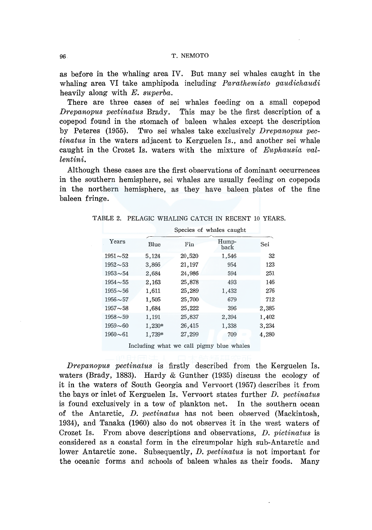as before in the whaling area IV. But many sei whales caught in the whaling area VI take amphipoda including *Parathemisto gaudichaudi*  heavily along with *E. superba.* 

There are three cases of sei whales feeding on a small copepod *Drepanopus pectinatus* Brady. This may be the first description of a copepod found in the stomach of baleen whales except the description by Peteres (1955). Two sei whales take exclusively *Drepanopus pectinatus* in the waters adjacent to Kerguelen Is., and another sei whale caught in the Crozet Is. waters with the mixture of *Euphausia vallentini.* 

Although these cases are the first observations of dominant occurrences in the southern hemisphere, sei whales are usually feeding on copepods in the northern hemisphere, as they have baleen plates of the fine baleen fringe.

|                |        | Species of whales caught |               |       |
|----------------|--------|--------------------------|---------------|-------|
| Years          | Blue   | Fin                      | Hump-<br>back | Sei   |
| $1951 - 52$    | 5,124  | 20,520                   | 1,546         | 32    |
| $1952 - 53$    | 3,866  | 21,197                   | 954           | 123   |
| $1953 - 54$    | 2.684  | 24,986                   | 594           | 251   |
| $1954 \sim 55$ | 2.163  | 25,878                   | 493           | 146   |
| $1955 \sim 56$ | 1,611  | 25,289                   | 1,432         | 276   |
| $1956 \sim 57$ | 1,505  | 25,700                   | 679           | 712   |
| $1957 - 58$    | 1,684  | 25,222                   | 396           | 2.385 |
| $1958 - 59$    | 1.191  | 25,837                   | 2,394         | 1,402 |
| $1959 - 60$    | 1,230* | 26,415                   | 1,338         | 3,234 |
| $1960 - 61$    | 1,739* | 27,299                   | 709           | 4,280 |

TABLE 2. PELAGIC WHALING CATCH IN RECENT 10 YEARS.

Including what we call pigmy blue whales

*Drepanopus pectinatus* is firstly described from the Kerguelen Is. waters (Brady, 1883). Hardy & Gunther (1935) discuss the ecology of it in the waters of South Georgia and Vervoort (1957) describes it from the bays or inlet of Kerguelen Is. Vervoort states further *D. pectinatus*  is found exclusively in a tow of plankton net. In the southern ocean of the Antarctic, *D. pectinatus* has not been observed (Mackintosh, 1934), and Tanaka (1960) also do not observes it in the west waters of Crozet Is. From above descriptions and observations, *D. pictinatus* is considered as a coastal form in the circumpolar high sub-Antarctic and lower Antarctic zone. Subsequently, *D. pectinatus* is not important for the oceanic forms and schools of baleen whales as their foods. Many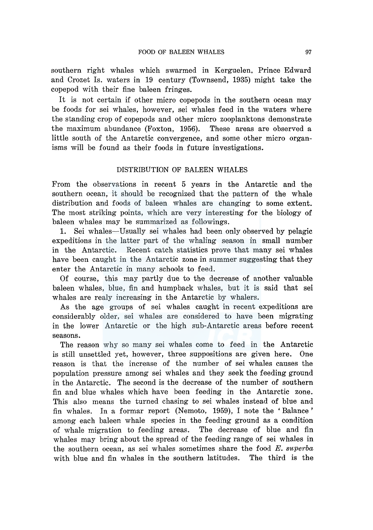southern right whales which swarmed in Kerguelen, Prince Edward and Crozet Is. waters in 19 century (Townsend, 1935) might take the copepod with their fine baleen fringes.

It is not certain if other micro copepods in the southern ocean may be foods for sei whales, however, sei whales feed in the waters where the standing crop of copepods and other micro zooplanktons demonstrate the maximum abundance (Foxton, 1956). These areas are observed a little south of the Antarctic convergence, and some other micro organisms will be found as their foods in future investigations.

# DISTRIBUTION OF BALEEN WHALES

From the observations in recent 5 years in the Antarctic and the southern ocean, it should be recognized that the pattern of the whale distribution and foods of baleen whales are changing to some extent. The most striking points, which are very interesting for the biology of baleen whales may be summarized as followings.

1. Sei whales-Usually sei whales had been only observed by pelagic expeditions in the latter part of the whaling season in small number in the Antarctic. Recent catch statistics prove that many sei whales have been caught in the Antarctic zone in summer suggesting that they enter the Antarctic in many schools to feed.

Of course, this may partly due to the decrease of another valuable baleen whales, blue, fin and humpback whales, but it is said that sei whales are realy increasing in the Antarctic by whalers.

As the age groups of sei whales caught in recent expeditions are considerably older, sei whales are considered to have been migrating in the lower Antarctic or the high sub-Antarctic areas before recent seasons.

The reason why so many sei whales come to feed in the Antarctic is still unsettled yet, however, three suppositions are given here. One reason is that the increase of the number of sei whales causes the population pressure among sei whales and they seek the feeding ground in the Antarctic. The second is the decrease of the number of southern fin and blue whales which have been feeding in the Antarctic zone. This also means the turned chasing to sei whales instead of blue and fin whales. In a formar report (Nemoto, 1959), I note the 'Balance' among each baleen whale species in the feeding ground as a condition of whale migration to feeding areas. The decrease of blue and fin whales may bring about the spread of the feeding range of sei whales in the southern ocean, as sei whales sometimes share the food *E. superba*  with blue and fin whales in the southern latitudes. The third is the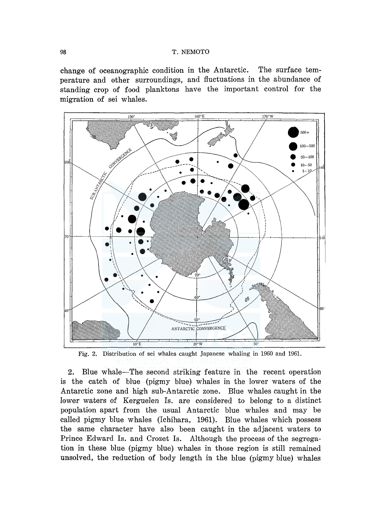## 98 T. NEMOTO

change of oceanographic condition in the Antarctic. The surface temperature and other surroundings, and fluctuations in the abundance of standing crop of food planktons have the important control for the migration of sei whales.



Fig. 2. Distribution of sei whales caught Japanese whaling in 1960 and 1961.

2. Blue whale-The second striking feature in the recent operation is the catch of blue (pigmy blue) whales in the lower waters of the Antarctic zone and high sub-Antarctic zone. Blue whales caught in the lower waters of Kerguelen Is. are considered to belong to a distinct population apart from the usual Antarctic blue whales and may be called pigmy blue whales (Ichihara, 1961). Blue whales which possess the same character have also been caught in the adjacent waters to Prince Edward Is. and Crozet Is. Although the process of the segregation in these blue (pigmy blue) whales in those region is still remained unsolved, the reduction of body length in the blue (pigmy blue) whales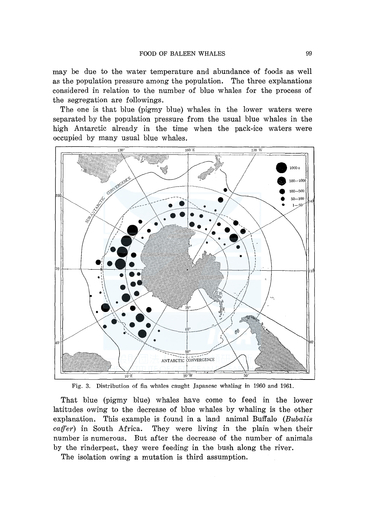may be due to the water temperature and abundance of foods as well as the population pressure among the population. The three explanations considered in relation to the number of blue whales for the process of the segregation are followings.

The one is that blue (pigmy blue) whales in the lower waters were separated by the population pressure from the usual blue whales in the high Antarctic already in the time when the pack-ice waters were occupied by many usual blue whales.



Fig. 3. Distribution of fin whales caught Japanese whaling in 1960 and 1961.

That blue (pigmy blue) whales have come to feed in the lower latitudes owing to the decrease of blue whales by whaling is the other explanation. This example is found in a land animal Buffalo *(Bubalis caffer)* in South Africa. They were living in the plain when their number is numerous. But after the decrease of the number of animals by the rinderpest, they were feeding in the bush along the river.

The isolation owing a mutation is third assumption.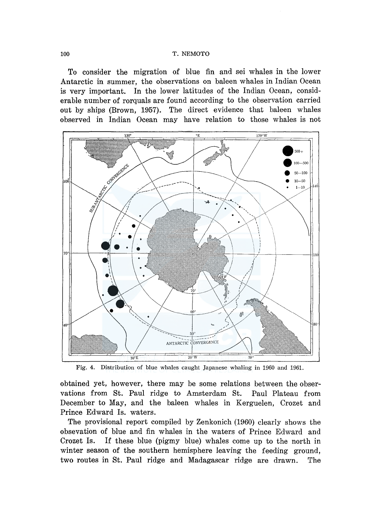#### 100 T. NEMOTO

To consider the migration of blue fin and sei whales in the lower Antarctic in summer, the observations on baleen whales in Indian Ocean is very important. In the lower latitudes of the Indian Ocean, considerable number of rorquals are found according to the observation carried out by ships (Brown, 1957). The direct evidence that baleen whales observed in Indian Ocean may have relation to those whales is not



Fig. 4. Distribution of blue whales caught Japanese whaling in 1960 and 1961.

obtained yet, however, there may be some relations between the observations from St. Paul ridge to Amsterdam St. Paul Plateau from December to May, and the baleen whales in Kerguelen, Crozet and Prince Edward Is. waters.

The provisional report compiled by Zenkonich (1960) clearly shows the obsevation of blue and fin whales in the waters of Prince Edward and Crozet Is. If these blue (pigmy blue) whales come up to the north in winter season of the southern hemisphere leaving the feeding ground, two routes in St. Paul ridge and Madagascar ridge are drawn. The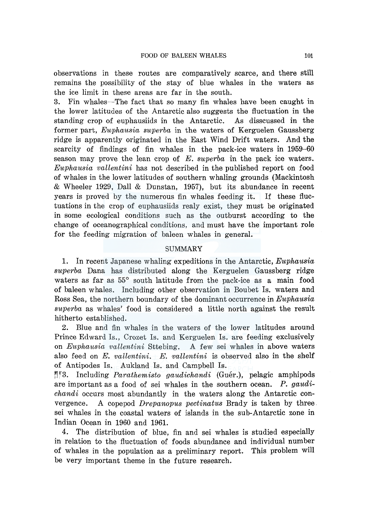observations in these routes are comparatively scarce, and there still remains the possibility of the stay of blue whales in the waters as the ice limit in these areas are far in the south.

3. Fin whales-The fact that so many fin whales have been caught in the lower latitudes of the Antarctic also suggests the fluctuation in the standing crop of euphausiids in the Antarctic. As disscussed in the former part, *Euphausia superba* in the waters of Kerguelen Gaussberg ridge is apparently originated in the East Wind Drift waters. And the scarcity of findings of fin whales in the pack-ice waters in 1959-60 season may prove the lean crop of *E. superba* in the pack ice waters. *Euphausia vallentini* has not described in the published report on food of whales in the lower latitudes of southern whaling grounds (Mackintosh & Wheeler 1929, Dall & Dunstan, 1957), but its abundance in recent years is proved by the numerous fin whales feeding it. If these fluctuations in the crop of euphausiids realy exist, they must be originated in some ecological conditions such as the outburst according to the change of oceanographical conditions, and must have the important role for the feeding migration of baleen whales in general.

## SUMMARY

1. In recent Japanese whaling expeditions in the Antarctic, *Euphausia superba* Dana has distributed along the Kerguelen Gaussberg ridge waters as far as 55° south latitude from the pack-ice as a main food of baleen whales. Including other observation in Boubet Is. waters and Ross Sea, the northern boundary of the dominant occurrence in *Euphausia superba* as whales' food is considered a little north against the result hitherto established.

2. Blue and fin whales in the waters of the lower latitudes around Prince Edward Is., Crozet Is. and Kerguelen Is. are feeding exclusively on *Euphausia vallentini* Sttebing. A few sei whales in above waters also feed on *E. vallentini. E. vallentini* is observed also in the shelf of Antipodes Is. Aukland Is. and Campbell Is.

<sup>194</sup>3. Including *Parathemisto gaudichandi* (Guér.), pelagic amphipods are important as a food of sei whales in the southern ocean. *P. gaudichandi* occurs most abundantly in the waters along the Antarctic convergence. A copepod *Drepanopus pectinatus* Brady is taken by three. sei whales in the coastal waters of islands in the sub-Antarctic zone in Indian Ocean in 1960 and 1961.

4. The distribution of blue, fin and sei whales is studied especially in relation to the fluctuation of foods abundance and individual number of whales in the population as a preliminary report. This problem will be very important theme in the future research.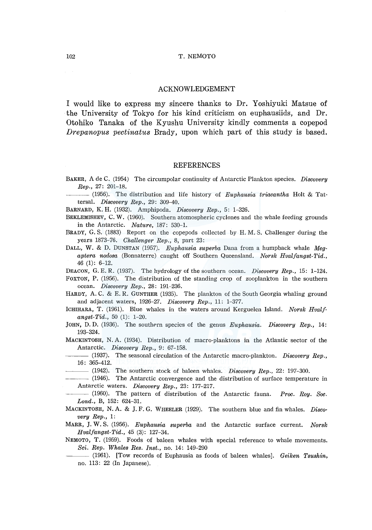#### ACKNOWLEDGEMENT

I would like to express my sincere thanks to Dr. Yoshiyuki Matsue of the University of Tokyo for his kind criticism on euphausiids, and Dr. Otohiko Tanaka of the Kyushu University kindly comments a copepod *Drepanopus pectinatus* Brady, upon which part of this study is based.

#### REFERENCES

- BAKER, A de C. (1954) The circumpolar continuity of Antarctic Plankton species. *Discovery Rep.,* 27: 201-18.
- ---(1956). The distribution and life history of *Euphausia triacantha* Holt & Tattersal. *Discovery Rep.,* 29: 309-40.
- BARNARD, K. H. (1932). Amphipoda. *Discovery Rep.,* 5: 1-326.
- BEKLEMISHEV, C. W. (1960). Southern atomospheric cyclones and the whale feeding grounds in the Antarctic. *Nature,* 187: 530-1.
- BRADY, G. S. (1883) Report on the copepods collected by H. M. S. Challenger during the years 1873-76. *Challenger Rep.,* 8, part 23:
- DALL, W. & D. DUNSTAN (1957). *Euphausia superba* Dana from a humpback whale *Megaptera nodosa* (Bonnaterre) caught off Southern Queensland. *Norsk Hvalfangst-Tid.,*  46 (1): 6-12.
- DEACON, G. E. R. (1937). The hydrology of the southern ocean. *Discovery Rep.,* 15: 1-124.
- FOXTON, P. (1956). The distribution of the standing crop of zooplankton in the southern ocean. *Discovery Rep.,* 28: 191-236.
- HARDY, A. C. & E. R. GUNTHER (1935). The plankton of the South Georgia whaling ground and adjacent waters, 1926-27. *Discovery Rep.,* 11: 1-377.
- ICHIHARA, T. (1961). Blue whales in the waters around Kerguelen Island. *Norsk Hvalfangst-Tid.,* 50 (1): 1-20.
- JOHN, D.D. (1936). The southern species of the genus *Euphausia. Discovery Rep.*, 14: 193-324.
- MACKINTOSH, N. A. (1934). Distribution of macro-planktons in the Atlantic sector of the Antarctic. *Discovery Rep.,* 9: 67-158.
- (1937). The seasonal circulation of the Antarctic macro-plankton. *Discovery Rep.,*  16: 365-412.
	- $-$  (1942). The southern stock of baleen whales. *Discovery Rep.*, 22: 197-300.
- ---(1946). The Antarctic convergence and the distribution of surface temperature in Antarctic waters. *Discovery Rep.,* 23: 177-217.
- ---(1960). The pattern of distribution of the Antarctic fauna. *Proc. Roy. Soc. Lond.,* B, 152: 624-31.
- MACKINTOSH, N. A. & J. F. G. WHEELER (1929). The southern blue and fin whales. *Discovery Rep.,* 1:
- MARR, J. W. S. (1956). *Euphausia superba* and the Antarctic surface current. *Norsk Hvalfangst-Tid.,* 45 (3): 127-34.
- NEMOTO, T. (1959). Foods of baleen whales with special reference to whale movements. *Sci. Rep. Whales Res. Inst.,* no. 14: 149-290
	- -(1961). [Tow records of Euphausia as foods of baleen whales]. *Geiken Tsushin,* no. 113: 22 (In Japanese).